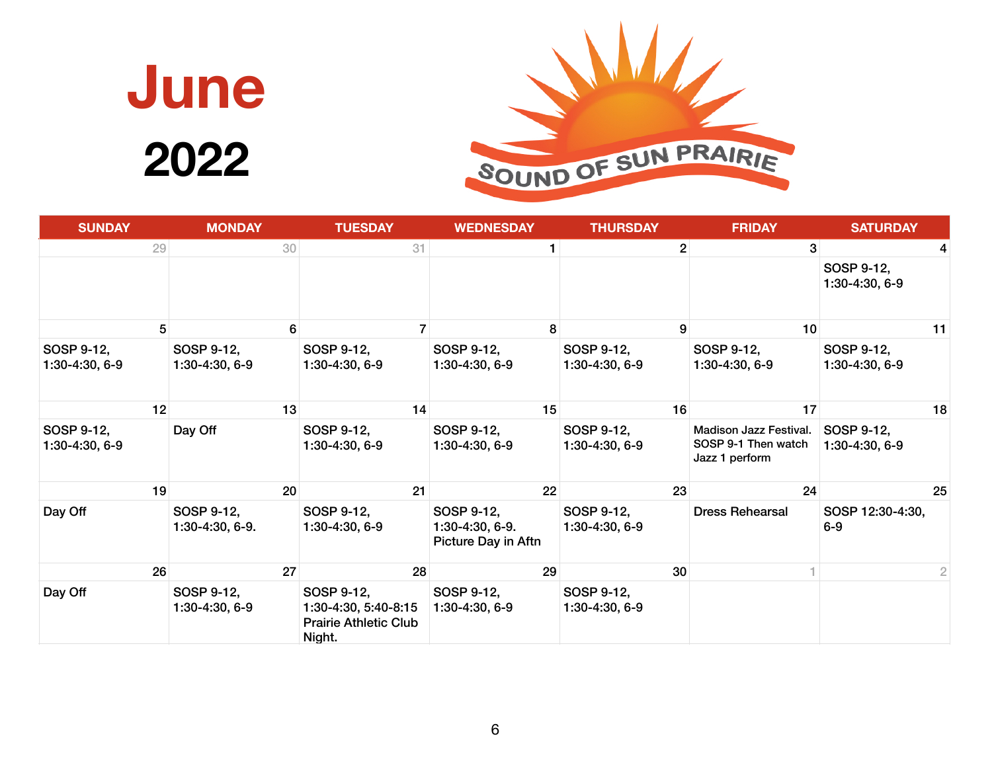

| <b>SUNDAY</b>                  | <b>MONDAY</b>                  | <b>TUESDAY</b>                                                               | <b>WEDNESDAY</b>                                     | <b>THURSDAY</b>                | <b>FRIDAY</b>                                                          | <b>SATURDAY</b>              |
|--------------------------------|--------------------------------|------------------------------------------------------------------------------|------------------------------------------------------|--------------------------------|------------------------------------------------------------------------|------------------------------|
| 29                             | 30                             | 31                                                                           | 1                                                    | $\overline{2}$                 | 3 <sup>1</sup>                                                         | 4                            |
|                                |                                |                                                                              |                                                      |                                |                                                                        | SOSP 9-12,<br>1:30-4:30, 6-9 |
| 5                              |                                | $6 \overline{6}$                                                             | 8 <sup>1</sup>                                       | 9 <sup>1</sup>                 | 10                                                                     | 11                           |
| SOSP 9-12,<br>1:30-4:30, 6-9   | SOSP 9-12,<br>$1:30-4:30, 6-9$ | SOSP 9-12,<br>$1:30-4:30, 6-9$                                               | SOSP 9-12,<br>1:30-4:30, 6-9                         | SOSP 9-12,<br>$1:30-4:30, 6-9$ | SOSP 9-12,<br>$1:30-4:30, 6-9$                                         | SOSP 9-12,<br>1:30-4:30, 6-9 |
| 12                             | 13                             | 14                                                                           | 15                                                   | 16                             | 17                                                                     | 18                           |
| SOSP 9-12,<br>$1:30-4:30, 6-9$ | Day Off                        | SOSP 9-12,<br>$1:30-4:30, 6-9$                                               | SOSP 9-12,<br>1:30-4:30, 6-9                         | SOSP 9-12,<br>1:30-4:30, 6-9   | <b>Madison Jazz Festival.</b><br>SOSP 9-1 Then watch<br>Jazz 1 perform | SOSP 9-12,<br>1:30-4:30, 6-9 |
| 19                             | 20                             | 21                                                                           | 22                                                   | 23                             | 24                                                                     | 25                           |
| Day Off                        | SOSP 9-12,<br>1:30-4:30, 6-9.  | SOSP 9-12,<br>$1:30-4:30, 6-9$                                               | SOSP 9-12,<br>1:30-4:30, 6-9.<br>Picture Day in Aftn | SOSP 9-12,<br>$1:30-4:30, 6-9$ | <b>Dress Rehearsal</b>                                                 | SOSP 12:30-4:30,<br>$6 - 9$  |
| 26                             | 27                             | 28                                                                           | 29                                                   | 30                             |                                                                        | 2                            |
| Day Off                        | SOSP 9-12,<br>1:30-4:30, 6-9   | SOSP 9-12,<br>1:30-4:30, 5:40-8:15<br><b>Prairie Athletic Club</b><br>Night. | SOSP 9-12,<br>1:30-4:30, 6-9                         | SOSP 9-12,<br>$1:30-4:30, 6-9$ |                                                                        |                              |